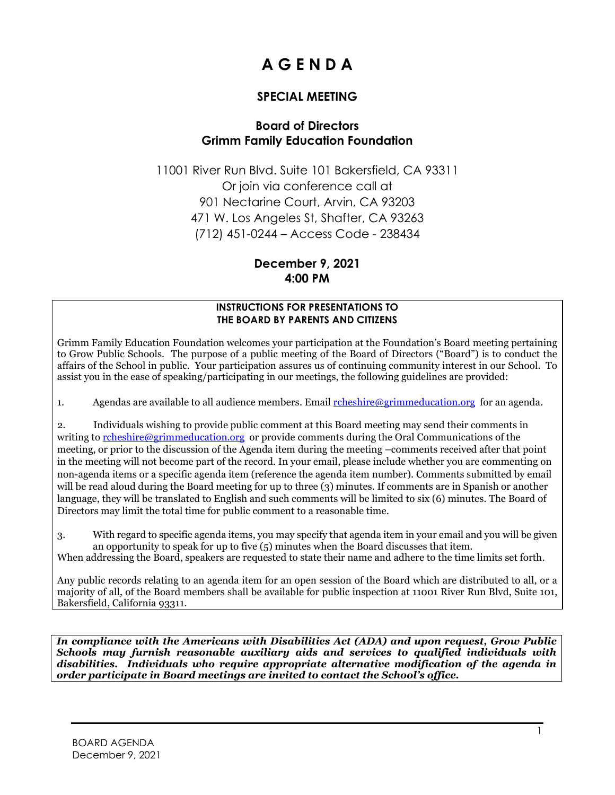# **A G E N D A**

# **SPECIAL MEETING**

## **Board of Directors Grimm Family Education Foundation**

11001 River Run Blvd. Suite 101 Bakersfield, CA 93311 Or join via conference call at 901 Nectarine Court, Arvin, CA 93203 471 W. Los Angeles St, Shafter, CA 93263 (712) 451-0244 – Access Code - 238434

# **December 9, 2021 4:00 PM**

#### **INSTRUCTIONS FOR PRESENTATIONS TO THE BOARD BY PARENTS AND CITIZENS**

Grimm Family Education Foundation welcomes your participation at the Foundation's Board meeting pertaining to Grow Public Schools. The purpose of a public meeting of the Board of Directors ("Board") is to conduct the affairs of the School in public. Your participation assures us of continuing community interest in our School. To assist you in the ease of speaking/participating in our meetings, the following guidelines are provided:

1. Agendas are available to all audience members. Email  $\frac{r\theta}{r\theta}$  reducation.org for an agenda.

2. Individuals wishing to provide public comment at this Board meeting may send their comments in writing to [rcheshire@grimmeducation.org](mailto:rcheshire@grimmeducation.org) or provide comments during the Oral Communications of the meeting, or prior to the discussion of the Agenda item during the meeting –comments received after that point in the meeting will not become part of the record. In your email, please include whether you are commenting on non-agenda items or a specific agenda item (reference the agenda item number). Comments submitted by email will be read aloud during the Board meeting for up to three (3) minutes. If comments are in Spanish or another language, they will be translated to English and such comments will be limited to six (6) minutes. The Board of Directors may limit the total time for public comment to a reasonable time.

3. With regard to specific agenda items, you may specify that agenda item in your email and you will be given an opportunity to speak for up to five  $(5)$  minutes when the Board discusses that item.

When addressing the Board, speakers are requested to state their name and adhere to the time limits set forth.

Any public records relating to an agenda item for an open session of the Board which are distributed to all, or a majority of all, of the Board members shall be available for public inspection at 11001 River Run Blvd, Suite 101, Bakersfield, California 93311.

*In compliance with the Americans with Disabilities Act (ADA) and upon request, Grow Public Schools may furnish reasonable auxiliary aids and services to qualified individuals with disabilities. Individuals who require appropriate alternative modification of the agenda in order participate in Board meetings are invited to contact the School's office.*